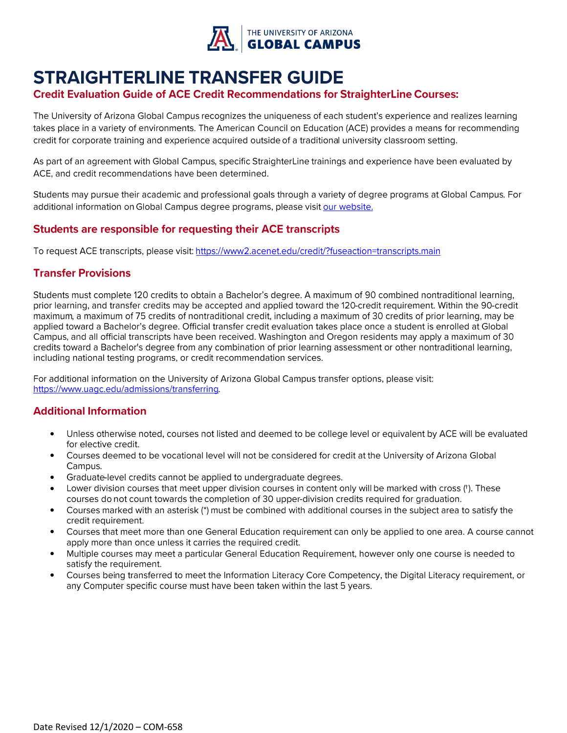

## **STRAIGHTERLINE TRANSFER GUIDE**

#### **Credit Evaluation Guide of ACE Credit Recommendations for StraighterLine Courses:**

The University of Arizona Global Campus recognizes the uniqueness of each student's experience and realizes learning takes place in a variety of environments. The American Council on Education (ACE) provides a means for recommending credit for corporate training and experience acquired outside of a traditional university classroom setting.

As part of an agreement with Global Campus, specific StraighterLine trainings and experience have been evaluated by ACE, and credit recommendations have been determined.

Students may pursue their academic and professional goals through a variety of degree programs at Global Campus. For additional information on Global Campus degree programs, please visit our website.

#### **Students are responsible for requesting their ACE transcripts**

To request ACE transcripts, please visit: https://www2.acenet.edu/credit/?fuseaction=transcripts.main

#### **Transfer Provisions**

Students must complete 120 credits to obtain a Bachelor's degree. A maximum of 90 combined nontraditional learning, prior learning, and transfer credits may be accepted and applied toward the 120-credit requirement. Within the 90-credit maximum, a maximum of 75 credits of nontraditional credit, including a maximum of 30 credits of prior learning, may be applied toward a Bachelor's degree. Official transfer credit evaluation takes place once a student is enrolled at Global Campus, and all official transcripts have been received. Washington and Oregon residents may apply a maximum of 30 credits toward a Bachelor's degree from any combination of prior learning assessment or other nontraditional learning, including national testing programs, or credit recommendation services.

For additional information on the University of Arizona Global Campus transfer options, please visit: https://www.uagc.edu/admissions/transferring.

### **Additional Information**

- Unless otherwise noted, courses not listed and deemed to be college level or equivalent by ACE will be evaluated • for elective credit.
- Courses deemed to be vocational level will not be considered for credit at the University of Arizona Global • Campus.
- Graduate-level credits cannot be applied to undergraduate degrees.
- Lower division courses that meet upper division courses in content only will be marked with cross (t). These courses do not count towards the completion of 30 upper-division credits required for graduation.
- Courses marked with an asterisk (\*) must be combined with additional courses in the subject area to satisfy the • credit requirement.
- Courses that meet more than one General Education requirement can only be applied to one area. A course cannot • apply more than once unless it carries the required credit.
- Multiple courses may meet a particular General Education Requirement, however only one course is needed to • satisfy the requirement.
- Courses being transferred to meet the Information Literacy Core Competency, the Digital Literacy requirement, or •any Computer specific course must have been taken within the last 5 years.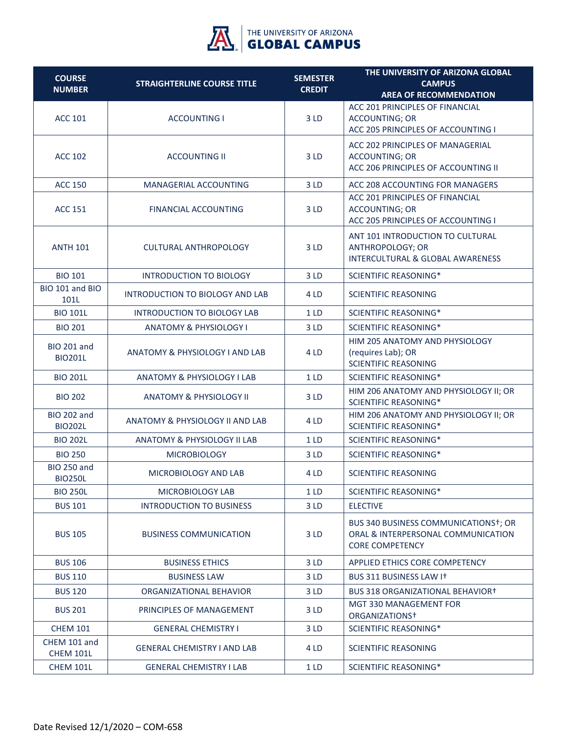

| <b>COURSE</b>                        |                                           | <b>SEMESTER</b> | THE UNIVERSITY OF ARIZONA GLOBAL                                                                                  |
|--------------------------------------|-------------------------------------------|-----------------|-------------------------------------------------------------------------------------------------------------------|
| <b>NUMBER</b>                        | <b>STRAIGHTERLINE COURSE TITLE</b>        | <b>CREDIT</b>   | <b>CAMPUS</b><br><b>AREA OF RECOMMENDATION</b>                                                                    |
|                                      |                                           |                 | ACC 201 PRINCIPLES OF FINANCIAL                                                                                   |
| <b>ACC 101</b>                       | <b>ACCOUNTING I</b>                       | 3LD             | <b>ACCOUNTING; OR</b><br>ACC 205 PRINCIPLES OF ACCOUNTING I                                                       |
|                                      |                                           |                 | ACC 202 PRINCIPLES OF MANAGERIAL                                                                                  |
| <b>ACC 102</b>                       | <b>ACCOUNTING II</b>                      | 3LD             | <b>ACCOUNTING; OR</b>                                                                                             |
|                                      |                                           |                 | ACC 206 PRINCIPLES OF ACCOUNTING II                                                                               |
| <b>ACC 150</b>                       | MANAGERIAL ACCOUNTING                     | 3LD             | ACC 208 ACCOUNTING FOR MANAGERS                                                                                   |
|                                      |                                           |                 | ACC 201 PRINCIPLES OF FINANCIAL                                                                                   |
| <b>ACC 151</b>                       | <b>FINANCIAL ACCOUNTING</b>               | 3LD             | <b>ACCOUNTING; OR</b><br>ACC 205 PRINCIPLES OF ACCOUNTING I                                                       |
|                                      |                                           |                 | ANT 101 INTRODUCTION TO CULTURAL                                                                                  |
| <b>ANTH 101</b>                      | <b>CULTURAL ANTHROPOLOGY</b>              | 3LD             | <b>ANTHROPOLOGY; OR</b><br>INTERCULTURAL & GLOBAL AWARENESS                                                       |
|                                      |                                           |                 |                                                                                                                   |
| <b>BIO 101</b><br>BIO 101 and BIO    | <b>INTRODUCTION TO BIOLOGY</b>            | 3LD             | <b>SCIENTIFIC REASONING*</b>                                                                                      |
| 101L                                 | <b>INTRODUCTION TO BIOLOGY AND LAB</b>    | 4 LD            | <b>SCIENTIFIC REASONING</b>                                                                                       |
| <b>BIO 101L</b>                      | INTRODUCTION TO BIOLOGY LAB               | 1LD             | <b>SCIENTIFIC REASONING*</b>                                                                                      |
| <b>BIO 201</b>                       | <b>ANATOMY &amp; PHYSIOLOGY I</b>         | 3LD             | <b>SCIENTIFIC REASONING*</b>                                                                                      |
| <b>BIO 201 and</b>                   |                                           |                 | HIM 205 ANATOMY AND PHYSIOLOGY                                                                                    |
| <b>BIO201L</b>                       | <b>ANATOMY &amp; PHYSIOLOGY I AND LAB</b> | 4 LD            | (requires Lab); OR<br><b>SCIENTIFIC REASONING</b>                                                                 |
| <b>BIO 201L</b>                      | <b>ANATOMY &amp; PHYSIOLOGY I LAB</b>     | 1LD             | <b>SCIENTIFIC REASONING*</b>                                                                                      |
| <b>BIO 202</b>                       | <b>ANATOMY &amp; PHYSIOLOGY II</b>        | 3LD             | HIM 206 ANATOMY AND PHYSIOLOGY II; OR<br><b>SCIENTIFIC REASONING*</b>                                             |
| <b>BIO 202 and</b><br><b>BIO202L</b> | ANATOMY & PHYSIOLOGY II AND LAB           | 4 LD            | HIM 206 ANATOMY AND PHYSIOLOGY II; OR<br><b>SCIENTIFIC REASONING*</b>                                             |
| <b>BIO 202L</b>                      | ANATOMY & PHYSIOLOGY II LAB               | 1LD             | <b>SCIENTIFIC REASONING*</b>                                                                                      |
| <b>BIO 250</b>                       | <b>MICROBIOLOGY</b>                       | 3LD             | <b>SCIENTIFIC REASONING*</b>                                                                                      |
| <b>BIO 250 and</b><br><b>BIO250L</b> | MICROBIOLOGY AND LAB                      | 4 LD            | <b>SCIENTIFIC REASONING</b>                                                                                       |
| <b>BIO 250L</b>                      | MICROBIOLOGY LAB                          | 1LD             | <b>SCIENTIFIC REASONING*</b>                                                                                      |
| <b>BUS 101</b>                       | <b>INTRODUCTION TO BUSINESS</b>           | 3LD             | <b>ELECTIVE</b>                                                                                                   |
| <b>BUS 105</b>                       | <b>BUSINESS COMMUNICATION</b>             | 3 LD            | BUS 340 BUSINESS COMMUNICATIONS <sup>+</sup> ; OR<br>ORAL & INTERPERSONAL COMMUNICATION<br><b>CORE COMPETENCY</b> |
| <b>BUS 106</b>                       | <b>BUSINESS ETHICS</b>                    | 3LD             | APPLIED ETHICS CORE COMPETENCY                                                                                    |
| <b>BUS 110</b>                       | <b>BUSINESS LAW</b>                       | 3LD             | BUS 311 BUSINESS LAW IT                                                                                           |
| <b>BUS 120</b>                       | ORGANIZATIONAL BEHAVIOR                   | 3LD             | <b>BUS 318 ORGANIZATIONAL BEHAVIOR+</b>                                                                           |
| <b>BUS 201</b>                       | PRINCIPLES OF MANAGEMENT                  | 3LD             | MGT 330 MANAGEMENT FOR<br>ORGANIZATIONS <sup>+</sup>                                                              |
| <b>CHEM 101</b>                      | <b>GENERAL CHEMISTRY I</b>                | 3LD             | <b>SCIENTIFIC REASONING*</b>                                                                                      |
| CHEM 101 and<br><b>CHEM 101L</b>     | <b>GENERAL CHEMISTRY I AND LAB</b>        | 4 LD            | <b>SCIENTIFIC REASONING</b>                                                                                       |
| <b>CHEM 101L</b>                     | <b>GENERAL CHEMISTRY I LAB</b>            | 1 <sub>LD</sub> | <b>SCIENTIFIC REASONING*</b>                                                                                      |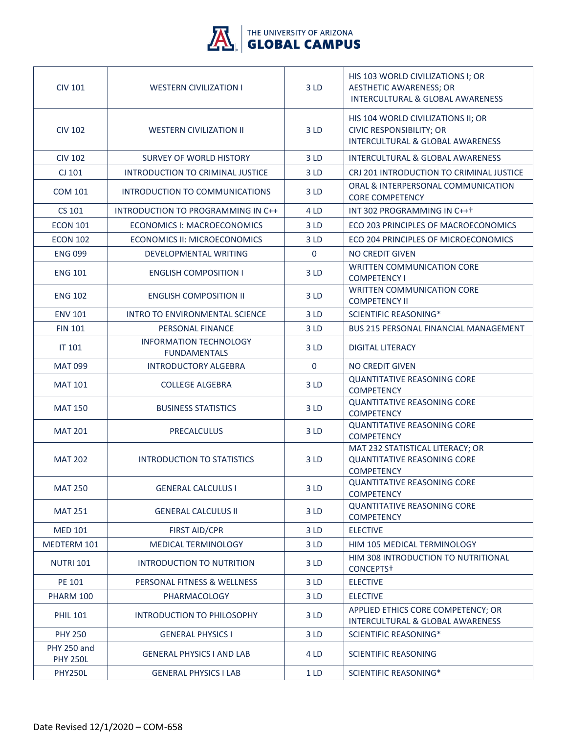

| <b>CIV 101</b>                        | <b>WESTERN CIVILIZATION I</b>                        | 3LD             | HIS 103 WORLD CIVILIZATIONS I; OR<br><b>AESTHETIC AWARENESS; OR</b><br>INTERCULTURAL & GLOBAL AWARENESS              |
|---------------------------------------|------------------------------------------------------|-----------------|----------------------------------------------------------------------------------------------------------------------|
| <b>CIV 102</b>                        | <b>WESTERN CIVILIZATION II</b>                       | 3LD             | HIS 104 WORLD CIVILIZATIONS II; OR<br><b>CIVIC RESPONSIBILITY; OR</b><br><b>INTERCULTURAL &amp; GLOBAL AWARENESS</b> |
| <b>CIV 102</b>                        | <b>SURVEY OF WORLD HISTORY</b>                       | 3 LD            | <b>INTERCULTURAL &amp; GLOBAL AWARENESS</b>                                                                          |
| CJ 101                                | <b>INTRODUCTION TO CRIMINAL JUSTICE</b>              | 3 LD            | CRJ 201 INTRODUCTION TO CRIMINAL JUSTICE                                                                             |
| <b>COM 101</b>                        | INTRODUCTION TO COMMUNICATIONS                       | 3 LD            | ORAL & INTERPERSONAL COMMUNICATION<br><b>CORE COMPETENCY</b>                                                         |
| CS 101                                | INTRODUCTION TO PROGRAMMING IN C++                   | 4 LD            | INT 302 PROGRAMMING IN C+++                                                                                          |
| <b>ECON 101</b>                       | ECONOMICS I: MACROECONOMICS                          | 3 LD            | ECO 203 PRINCIPLES OF MACROECONOMICS                                                                                 |
| <b>ECON 102</b>                       | <b>ECONOMICS II: MICROECONOMICS</b>                  | 3 LD            | ECO 204 PRINCIPLES OF MICROECONOMICS                                                                                 |
| <b>ENG 099</b>                        | <b>DEVELOPMENTAL WRITING</b>                         | $\mathbf 0$     | <b>NO CREDIT GIVEN</b>                                                                                               |
| <b>ENG 101</b>                        | <b>ENGLISH COMPOSITION I</b>                         | 3LD             | <b>WRITTEN COMMUNICATION CORE</b><br><b>COMPETENCY I</b>                                                             |
| <b>ENG 102</b>                        | <b>ENGLISH COMPOSITION II</b>                        | 3LD             | <b>WRITTEN COMMUNICATION CORE</b><br><b>COMPETENCY II</b>                                                            |
| <b>ENV 101</b>                        | <b>INTRO TO ENVIRONMENTAL SCIENCE</b>                | 3 LD            | <b>SCIENTIFIC REASONING*</b>                                                                                         |
| <b>FIN 101</b>                        | PERSONAL FINANCE                                     | 3 LD            | <b>BUS 215 PERSONAL FINANCIAL MANAGEMENT</b>                                                                         |
| <b>IT 101</b>                         | <b>INFORMATION TECHNOLOGY</b><br><b>FUNDAMENTALS</b> | 3LD             | <b>DIGITAL LITERACY</b>                                                                                              |
| <b>MAT 099</b>                        | <b>INTRODUCTORY ALGEBRA</b>                          | $\mathbf 0$     | <b>NO CREDIT GIVEN</b>                                                                                               |
| <b>MAT 101</b>                        | <b>COLLEGE ALGEBRA</b>                               | 3LD             | <b>QUANTITATIVE REASONING CORE</b><br><b>COMPETENCY</b>                                                              |
| <b>MAT 150</b>                        | <b>BUSINESS STATISTICS</b>                           | 3LD             | <b>QUANTITATIVE REASONING CORE</b><br><b>COMPETENCY</b>                                                              |
| <b>MAT 201</b>                        | <b>PRECALCULUS</b>                                   | 3LD             | <b>QUANTITATIVE REASONING CORE</b><br><b>COMPETENCY</b>                                                              |
| <b>MAT 202</b>                        | INTRODUCTION TO STATISTICS                           | 3LD             | MAT 232 STATISTICAL LITERACY; OR<br><b>QUANTITATIVE REASONING CORE</b><br><b>COMPETENCY</b>                          |
| <b>MAT 250</b>                        | <b>GENERAL CALCULUS I</b>                            | 3LD             | <b>QUANTITATIVE REASONING CORE</b><br><b>COMPETENCY</b>                                                              |
| <b>MAT 251</b>                        | <b>GENERAL CALCULUS II</b>                           | 3 LD            | <b>QUANTITATIVE REASONING CORE</b><br><b>COMPETENCY</b>                                                              |
| <b>MED 101</b>                        | <b>FIRST AID/CPR</b>                                 | 3LD             | <b>ELECTIVE</b>                                                                                                      |
| MEDTERM 101                           | MEDICAL TERMINOLOGY                                  | 3LD             | HIM 105 MEDICAL TERMINOLOGY                                                                                          |
| <b>NUTRI 101</b>                      | INTRODUCTION TO NUTRITION                            | 3 LD            | HIM 308 INTRODUCTION TO NUTRITIONAL<br>CONCEPTS <sup>+</sup>                                                         |
| PE 101                                | PERSONAL FITNESS & WELLNESS                          | 3LD             | <b>ELECTIVE</b>                                                                                                      |
| PHARM 100                             | PHARMACOLOGY                                         | 3 LD            | <b>ELECTIVE</b>                                                                                                      |
| <b>PHIL 101</b>                       | INTRODUCTION TO PHILOSOPHY                           | 3 LD            | APPLIED ETHICS CORE COMPETENCY; OR<br>INTERCULTURAL & GLOBAL AWARENESS                                               |
| <b>PHY 250</b>                        | <b>GENERAL PHYSICS I</b>                             | 3 LD            | SCIENTIFIC REASONING*                                                                                                |
| <b>PHY 250 and</b><br><b>PHY 250L</b> | <b>GENERAL PHYSICS I AND LAB</b>                     | 4 LD            | <b>SCIENTIFIC REASONING</b>                                                                                          |
| <b>PHY250L</b>                        | <b>GENERAL PHYSICS I LAB</b>                         | 1 <sub>LD</sub> | <b>SCIENTIFIC REASONING*</b>                                                                                         |